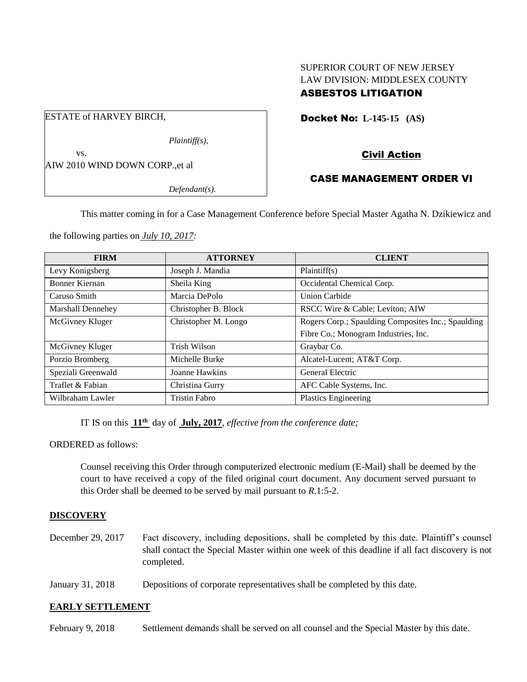# SUPERIOR COURT OF NEW JERSEY LAW DIVISION: MIDDLESEX COUNTY ASBESTOS LITIGATION

Docket No: **L-145-15 (AS)** 

Civil Action

# CASE MANAGEMENT ORDER VI

*Defendant(s).*

*Plaintiff(s),*

This matter coming in for a Case Management Conference before Special Master Agatha N. Dzikiewicz and

the following parties on *July 10, 2017:*

AIW 2010 WIND DOWN CORP.,et al

ESTATE of HARVEY BIRCH,

vs.

| <b>FIRM</b>        | <b>ATTORNEY</b>      | <b>CLIENT</b>                                      |
|--------------------|----------------------|----------------------------------------------------|
| Levy Konigsberg    | Joseph J. Mandia     | Plaintiff(s)                                       |
| Bonner Kiernan     | Sheila King          | Occidental Chemical Corp.                          |
| Caruso Smith       | Marcia DePolo        | <b>Union Carbide</b>                               |
| Marshall Dennehey  | Christopher B. Block | RSCC Wire & Cable; Leviton; AIW                    |
| McGivney Kluger    | Christopher M. Longo | Rogers Corp.; Spaulding Composites Inc.; Spaulding |
|                    |                      | Fibre Co.; Monogram Industries, Inc.               |
| McGivney Kluger    | Trish Wilson         | Graybar Co.                                        |
| Porzio Bromberg    | Michelle Burke       | Alcatel-Lucent; AT&T Corp.                         |
| Speziali Greenwald | Joanne Hawkins       | General Electric                                   |
| Traflet & Fabian   | Christina Gurry      | AFC Cable Systems, Inc.                            |
| Wilbraham Lawler   | <b>Tristin Fabro</b> | Plastics Engineering                               |

IT IS on this **11 th** day of **July, 2017**, *effective from the conference date;*

ORDERED as follows:

Counsel receiving this Order through computerized electronic medium (E-Mail) shall be deemed by the court to have received a copy of the filed original court document. Any document served pursuant to this Order shall be deemed to be served by mail pursuant to *R*.1:5-2.

# **DISCOVERY**

- December 29, 2017 Fact discovery, including depositions, shall be completed by this date. Plaintiff's counsel shall contact the Special Master within one week of this deadline if all fact discovery is not completed.
- January 31, 2018 Depositions of corporate representatives shall be completed by this date.

### **EARLY SETTLEMENT**

February 9, 2018 Settlement demands shall be served on all counsel and the Special Master by this date.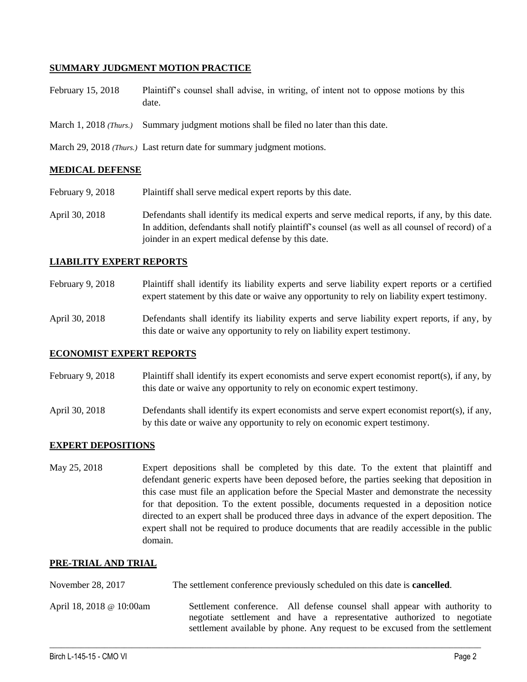## **SUMMARY JUDGMENT MOTION PRACTICE**

- February 15, 2018 Plaintiff's counsel shall advise, in writing, of intent not to oppose motions by this date.
- March 1, 2018 *(Thurs.)* Summary judgment motions shall be filed no later than this date.

March 29, 2018 *(Thurs.)* Last return date for summary judgment motions.

## **MEDICAL DEFENSE**

- February 9, 2018 Plaintiff shall serve medical expert reports by this date.
- April 30, 2018 Defendants shall identify its medical experts and serve medical reports, if any, by this date. In addition, defendants shall notify plaintiff's counsel (as well as all counsel of record) of a joinder in an expert medical defense by this date.

### **LIABILITY EXPERT REPORTS**

- February 9, 2018 Plaintiff shall identify its liability experts and serve liability expert reports or a certified expert statement by this date or waive any opportunity to rely on liability expert testimony.
- April 30, 2018 Defendants shall identify its liability experts and serve liability expert reports, if any, by this date or waive any opportunity to rely on liability expert testimony.

# **ECONOMIST EXPERT REPORTS**

- February 9, 2018 Plaintiff shall identify its expert economists and serve expert economist report(s), if any, by this date or waive any opportunity to rely on economic expert testimony.
- April 30, 2018 Defendants shall identify its expert economists and serve expert economist report(s), if any, by this date or waive any opportunity to rely on economic expert testimony.

# **EXPERT DEPOSITIONS**

May 25, 2018 Expert depositions shall be completed by this date. To the extent that plaintiff and defendant generic experts have been deposed before, the parties seeking that deposition in this case must file an application before the Special Master and demonstrate the necessity for that deposition. To the extent possible, documents requested in a deposition notice directed to an expert shall be produced three days in advance of the expert deposition. The expert shall not be required to produce documents that are readily accessible in the public domain.

### **PRE-TRIAL AND TRIAL**

November 28, 2017 The settlement conference previously scheduled on this date is **cancelled**.

April 18, 2018 @ 10:00am Settlement conference. All defense counsel shall appear with authority to negotiate settlement and have a representative authorized to negotiate settlement available by phone. Any request to be excused from the settlement

 $\_$  ,  $\_$  ,  $\_$  ,  $\_$  ,  $\_$  ,  $\_$  ,  $\_$  ,  $\_$  ,  $\_$  ,  $\_$  ,  $\_$  ,  $\_$  ,  $\_$  ,  $\_$  ,  $\_$  ,  $\_$  ,  $\_$  ,  $\_$  ,  $\_$  ,  $\_$  ,  $\_$  ,  $\_$  ,  $\_$  ,  $\_$  ,  $\_$  ,  $\_$  ,  $\_$  ,  $\_$  ,  $\_$  ,  $\_$  ,  $\_$  ,  $\_$  ,  $\_$  ,  $\_$  ,  $\_$  ,  $\_$  ,  $\_$  ,